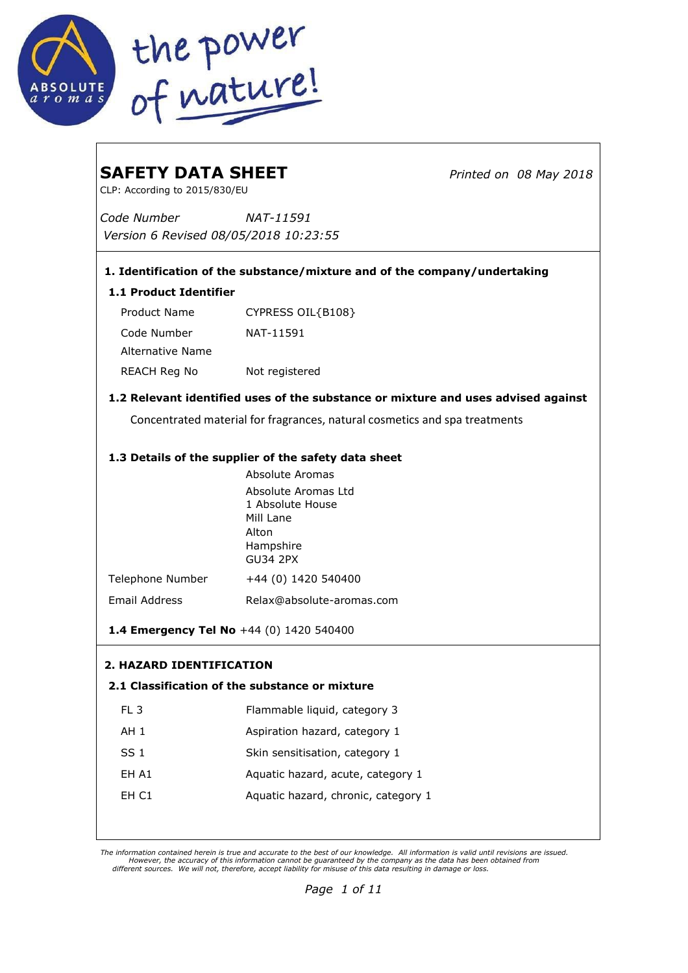

| <b>SAFETY DATA SHEET</b><br>CLP: According to 2015/830/EU                         |                                                                           | Printed on 08 May 2018 |  |  |
|-----------------------------------------------------------------------------------|---------------------------------------------------------------------------|------------------------|--|--|
| Code Number                                                                       | NAT-11591                                                                 |                        |  |  |
| Version 6 Revised 08/05/2018 10:23:55                                             |                                                                           |                        |  |  |
|                                                                                   | 1. Identification of the substance/mixture and of the company/undertaking |                        |  |  |
| <b>1.1 Product Identifier</b>                                                     |                                                                           |                        |  |  |
| Product Name                                                                      | CYPRESS OIL{B108}                                                         |                        |  |  |
| Code Number<br>Alternative Name                                                   | NAT-11591                                                                 |                        |  |  |
| REACH Reg No                                                                      | Not registered                                                            |                        |  |  |
| 1.2 Relevant identified uses of the substance or mixture and uses advised against |                                                                           |                        |  |  |
| Concentrated material for fragrances, natural cosmetics and spa treatments        |                                                                           |                        |  |  |
|                                                                                   | 1.3 Details of the supplier of the safety data sheet                      |                        |  |  |
|                                                                                   | Absolute Aromas                                                           |                        |  |  |
|                                                                                   | Absolute Aromas Ltd<br>1 Absolute House                                   |                        |  |  |
|                                                                                   | Mill Lane                                                                 |                        |  |  |
|                                                                                   | Alton                                                                     |                        |  |  |
|                                                                                   | Hampshire<br><b>GU34 2PX</b>                                              |                        |  |  |
| Telephone Number                                                                  | +44 (0) 1420 540400                                                       |                        |  |  |
| Email Address                                                                     | Relax@absolute-aromas.com                                                 |                        |  |  |
| 1.4 Emergency Tel No +44 (0) 1420 540400                                          |                                                                           |                        |  |  |
| <b>2. HAZARD IDENTIFICATION</b>                                                   |                                                                           |                        |  |  |
| 2.1 Classification of the substance or mixture                                    |                                                                           |                        |  |  |
| FL <sub>3</sub>                                                                   | Flammable liquid, category 3                                              |                        |  |  |
| AH <sub>1</sub>                                                                   | Aspiration hazard, category 1                                             |                        |  |  |
| SS <sub>1</sub>                                                                   | Skin sensitisation, category 1                                            |                        |  |  |
| EH A1                                                                             | Aquatic hazard, acute, category 1                                         |                        |  |  |
| EH C1                                                                             | Aquatic hazard, chronic, category 1                                       |                        |  |  |
|                                                                                   |                                                                           |                        |  |  |

The information contained herein is true and accurate to the best of our knowledge. All information is valid until revisions are issued.<br>However, the information cannot be guaranteed by the company as the data has been obt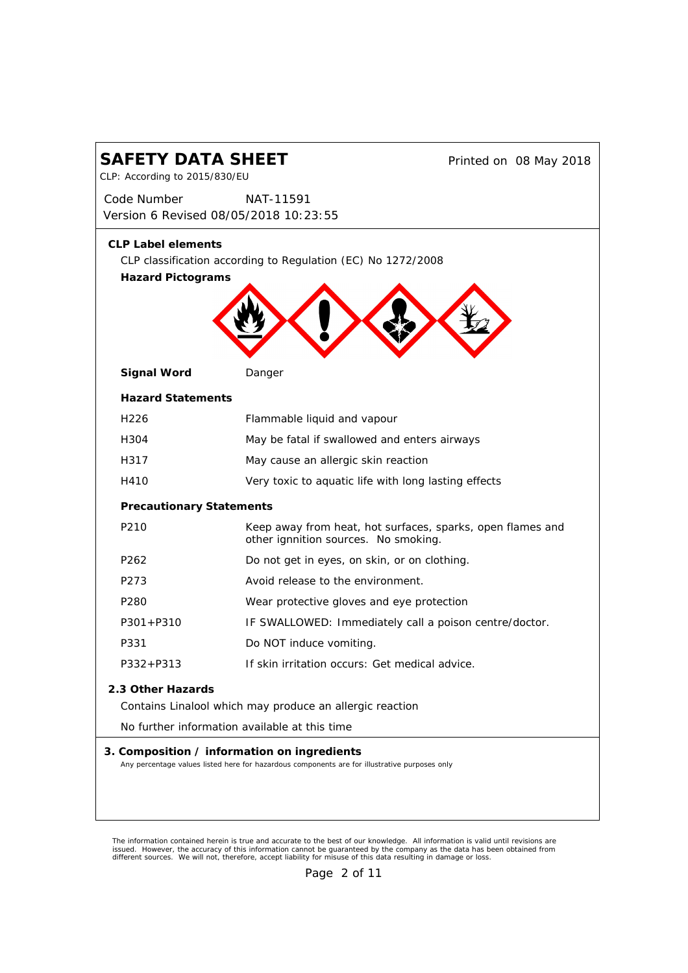| <b>SAFETY DATA SHEET</b><br>CLP: According to 2015/830/EU                                                                                    |                                                              |                                                            | Printed on 08 May 2018 |
|----------------------------------------------------------------------------------------------------------------------------------------------|--------------------------------------------------------------|------------------------------------------------------------|------------------------|
| Code Number<br>Version 6 Revised 08/05/2018 10:23:55                                                                                         | <i>NAT-11591</i>                                             |                                                            |                        |
| <b>CLP Label elements</b><br><b>Hazard Pictograms</b>                                                                                        | CLP classification according to Regulation (EC) No 1272/2008 |                                                            |                        |
| Signal Word                                                                                                                                  | Danger                                                       |                                                            |                        |
| <b>Hazard Statements</b>                                                                                                                     |                                                              |                                                            |                        |
| H <sub>226</sub>                                                                                                                             | Flammable liquid and vapour                                  |                                                            |                        |
| H304                                                                                                                                         | May be fatal if swallowed and enters airways                 |                                                            |                        |
| H317                                                                                                                                         | May cause an allergic skin reaction                          |                                                            |                        |
| H410                                                                                                                                         |                                                              | Very toxic to aquatic life with long lasting effects       |                        |
|                                                                                                                                              | <b>Precautionary Statements</b>                              |                                                            |                        |
| P <sub>210</sub>                                                                                                                             | other ignnition sources. No smoking.                         | Keep away from heat, hot surfaces, sparks, open flames and |                        |
| P <sub>262</sub>                                                                                                                             | Do not get in eyes, on skin, or on clothing.                 |                                                            |                        |
| P273                                                                                                                                         | Avoid release to the environment.                            |                                                            |                        |
| P <sub>280</sub>                                                                                                                             | Wear protective gloves and eye protection                    |                                                            |                        |
| $P301 + P310$                                                                                                                                |                                                              | IF SWALLOWED: Immediately call a poison centre/doctor.     |                        |
| P331                                                                                                                                         | Do NOT induce vomiting.                                      |                                                            |                        |
| P332+P313                                                                                                                                    | If skin irritation occurs: Get medical advice.               |                                                            |                        |
| 2.3 Other Hazards<br>Contains Linalool which may produce an allergic reaction<br>No further information available at this time               |                                                              |                                                            |                        |
| 3. Composition / information on ingredients<br>Any percentage values listed here for hazardous components are for illustrative purposes only |                                                              |                                                            |                        |

The information contained herein is true and accurate to the best of our knowledge. All information is valid until revisions are<br>issued. However, the accuracy of this information cannot be guaranteed by the company as the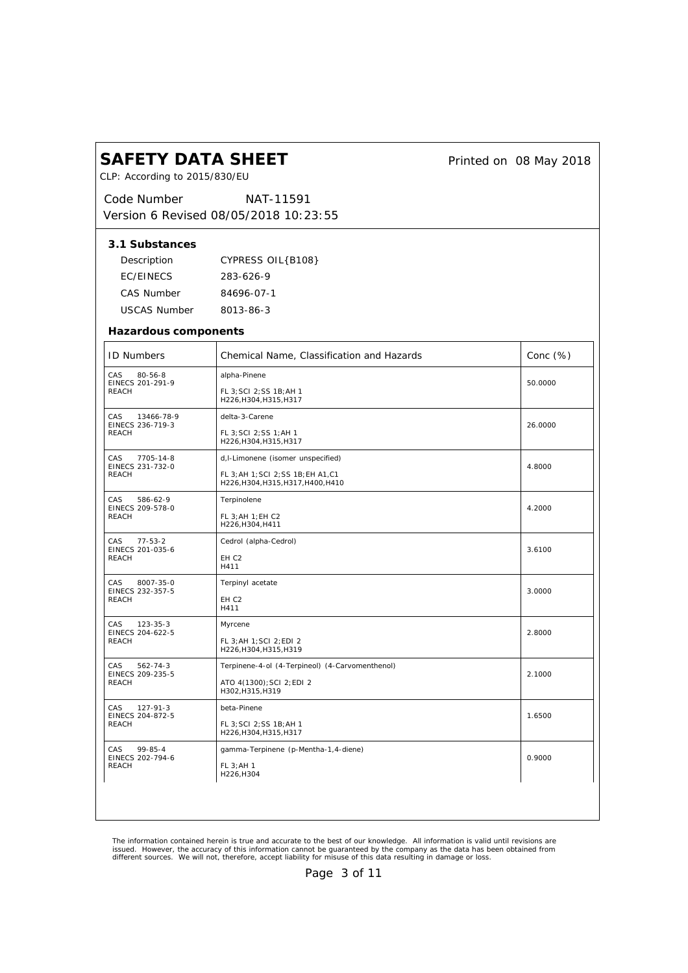| CLP: According to 2015/830/EU                       |                                                                           |             |
|-----------------------------------------------------|---------------------------------------------------------------------------|-------------|
| Code Number                                         | <i>NAT-11591</i>                                                          |             |
|                                                     | Version 6 Revised 08/05/2018 10:23:55                                     |             |
| 3.1 Substances                                      |                                                                           |             |
| Description                                         | CYPRESS OIL{B108}                                                         |             |
| EC/EINECS                                           | 283-626-9                                                                 |             |
| CAS Number                                          | 84696-07-1                                                                |             |
| USCAS Number                                        | 8013-86-3                                                                 |             |
| Hazardous components                                |                                                                           |             |
| <b>ID Numbers</b>                                   | Chemical Name, Classification and Hazards                                 | Conc $(\%)$ |
| CAS<br>$80 - 56 - 8$<br>EINECS 201-291-9            | alpha-Pinene                                                              | 50.0000     |
| <b>REACH</b>                                        | FL 3; SCI 2; SS 1B; AH 1<br>H226, H304, H315, H317                        |             |
| CAS<br>13466-78-9<br>EINECS 236-719-3               | delta-3-Carene                                                            | 26.0000     |
| <b>REACH</b>                                        | FL 3; SCI 2; SS 1; AH 1<br>H226, H304, H315, H317                         |             |
| CAS<br>7705-14-8                                    | d, I-Limonene (isomer unspecified)                                        | 4.8000      |
| EINECS 231-732-0<br><b>REACH</b>                    | FL 3; AH 1; SCI 2; SS 1B; EH A1, C1<br>H226, H304, H315, H317, H400, H410 |             |
| CAS<br>586-62-9<br>EINECS 209-578-0                 | Terpinolene                                                               | 4.2000      |
| REACH                                               | FL 3; AH 1; EH C2<br>H226, H304, H411                                     |             |
| CAS<br>$77 - 53 - 2$                                | Cedrol (alpha-Cedrol)                                                     | 3.6100      |
| EINECS 201-035-6<br>REACH                           | EH <sub>C2</sub><br>H411                                                  |             |
| CAS<br>8007-35-0<br>EINECS 232-357-5<br>REACH       | Terpinyl acetate                                                          | 3.0000      |
|                                                     | EH <sub>C2</sub><br>H411                                                  |             |
| CAS<br>$123 - 35 - 3$<br>EINECS 204-622-5<br>REACH  | Myrcene                                                                   | 2.8000      |
|                                                     | FL 3; AH 1; SCI 2; EDI 2<br>H226, H304, H315, H319                        |             |
| CAS<br>562-74-3<br>EINECS 209-235-5<br><b>REACH</b> | Terpinene-4-ol (4-Terpineol) (4-Carvomenthenol)                           | 2.1000      |
|                                                     | ATO 4(1300); SCI 2; EDI 2<br>H302, H315, H319                             |             |
| CAS<br>127-91-3<br>EINECS 204-872-5<br>REACH        | beta-Pinene                                                               | 1.6500      |
|                                                     | FL 3; SCI 2; SS 1B; AH 1<br>H226, H304, H315, H317                        |             |
| CAS<br>99-85-4<br>EINECS 202-794-6<br><b>REACH</b>  | gamma-Terpinene (p-Mentha-1,4-diene)                                      | 0.9000      |
|                                                     | FL 3: AH 1<br>H226, H304                                                  |             |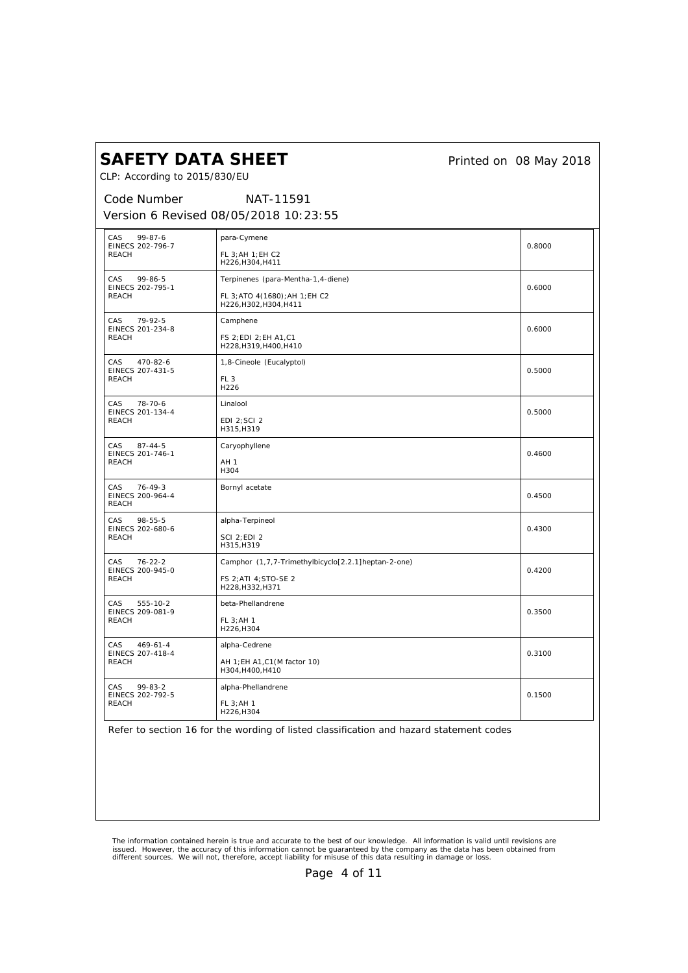*Printed on 08 May 2018*

CLP: According to 2015/830/EU

#### *Code Number Version 6 Revised 08/05/2018 10:23:55 NAT-11591*

| CAS<br>$99 - 87 - 6$<br>EINECS 202-796-7<br><b>REACH</b><br>CAS<br>$99 - 86 - 5$ | para-Cymene                                              | 0.8000 |
|----------------------------------------------------------------------------------|----------------------------------------------------------|--------|
|                                                                                  | FL 3: AH 1: EH C2<br>H226, H304, H411                    |        |
|                                                                                  | Terpinenes (para-Mentha-1,4-diene)                       | 0.6000 |
| EINECS 202-795-1<br><b>REACH</b>                                                 | FL 3; ATO 4(1680); AH 1; EH C2<br>H226, H302, H304, H411 |        |
| CAS<br>79-92-5<br>EINECS 201-234-8                                               | Camphene                                                 | 0.6000 |
| <b>REACH</b>                                                                     | FS 2; EDI 2; EH A1, C1<br>H228, H319, H400, H410         |        |
| CAS<br>470-82-6<br>EINECS 207-431-5                                              | 1,8-Cineole (Eucalyptol)                                 | 0.5000 |
| <b>REACH</b>                                                                     | FL <sub>3</sub><br>H226                                  |        |
| CAS<br>$78 - 70 - 6$<br>EINECS 201-134-4                                         | Linalool                                                 | 0.5000 |
| <b>REACH</b>                                                                     | EDI 2; SCI 2<br>H315, H319                               |        |
| CAS.<br>$87 - 44 - 5$<br>EINECS 201-746-1                                        | Caryophyllene                                            | 0.4600 |
| <b>REACH</b>                                                                     | AH <sub>1</sub><br>H304                                  |        |
| CAS<br>$76 - 49 - 3$<br>EINECS 200-964-4<br><b>REACH</b>                         | Bornyl acetate                                           | 0.4500 |
| CAS.<br>$98 - 55 - 5$                                                            | alpha-Terpineol                                          |        |
| EINECS 202-680-6<br><b>REACH</b>                                                 | <b>SCI 2:EDI 2</b>                                       | 0.4300 |
|                                                                                  | H315, H319                                               |        |
| <b>CAS</b><br>$76 - 22 - 2$<br>EINECS 200-945-0                                  | Camphor (1,7,7-Trimethylbicyclo[2.2.1]heptan-2-one)      | 0.4200 |
| <b>REACH</b>                                                                     | FS 2; ATI 4; STO-SE 2<br>H228, H332, H371                |        |
| CAS.<br>555-10-2<br>EINECS 209-081-9                                             | beta-Phellandrene                                        | 0.3500 |
| <b>REACH</b>                                                                     | FL 3; AH 1<br>H226, H304                                 |        |
| CAS<br>$469 - 61 - 4$<br>EINECS 207-418-4                                        | alpha-Cedrene                                            | 0.3100 |
| <b>REACH</b>                                                                     | AH 1; EH A1, C1 (M factor 10)<br>H304, H400, H410        |        |
| CAS<br>$99 - 83 - 2$<br>EINECS 202-792-5                                         | alpha-Phellandrene                                       | 0.1500 |
| <b>REACH</b>                                                                     | FL 3; AH 1<br>H226, H304                                 |        |

Refer to section 16 for the wording of listed classification and hazard statement codes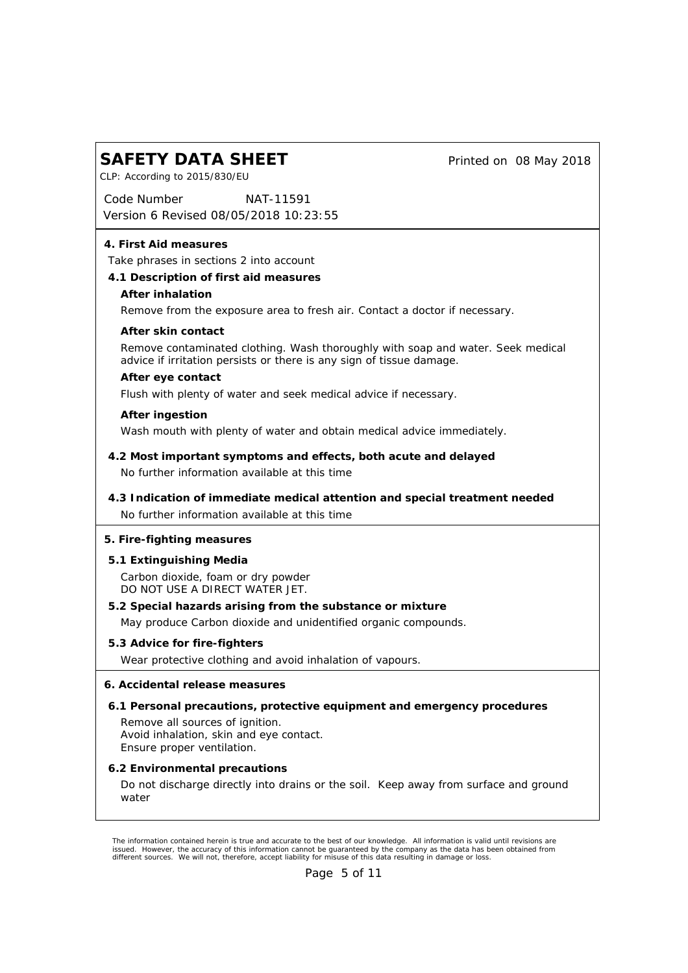*Printed on 08 May 2018*

*Code Number Version 6 Revised 08/05/2018 10:23:55 NAT-11591*

#### **4. First Aid measures**

CLP: According to 2015/830/EU

Take phrases in sections 2 into account

- **4.1 Description of first aid measures**
	- **After inhalation**

Remove from the exposure area to fresh air. Contact a doctor if necessary.

**After skin contact**

Remove contaminated clothing. Wash thoroughly with soap and water. Seek medical advice if irritation persists or there is any sign of tissue damage.

**After eye contact**

Flush with plenty of water and seek medical advice if necessary.

**After ingestion**

Wash mouth with plenty of water and obtain medical advice immediately.

- No further information available at this time **4.2 Most important symptoms and effects, both acute and delayed**
- No further information available at this time **4.3 Indication of immediate medical attention and special treatment needed**
- **5. Fire-fighting measures**
- **5.1 Extinguishing Media** Carbon dioxide, foam or dry powder DO NOT USE A DIRECT WATER JET.
- **5.2 Special hazards arising from the substance or mixture** May produce Carbon dioxide and unidentified organic compounds.
- **5.3 Advice for fire-fighters** Wear protective clothing and avoid inhalation of vapours.
- **6. Accidental release measures**
- **6.1 Personal precautions, protective equipment and emergency procedures** Remove all sources of ignition. Avoid inhalation, skin and eye contact. Ensure proper ventilation.
- **6.2 Environmental precautions** Do not discharge directly into drains or the soil. Keep away from surface and ground water

The information contained herein is true and accurate to the best of our knowledge. All information is valid until revisions are<br>issued. However, the accuracy of this information cannot be guaranteed by the company as the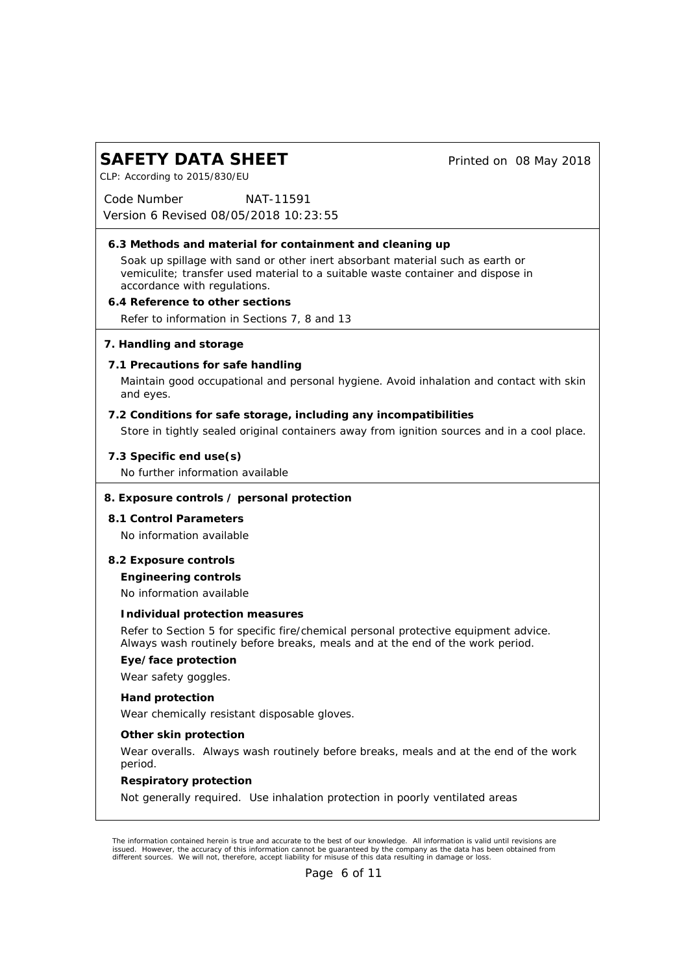*Printed on 08 May 2018*

CLP: According to 2015/830/EU

*Code Number Version 6 Revised 08/05/2018 10:23:55 NAT-11591*

- **6.3 Methods and material for containment and cleaning up** Soak up spillage with sand or other inert absorbant material such as earth or vemiculite; transfer used material to a suitable waste container and dispose in accordance with regulations. **6.4 Reference to other sections**
- Refer to information in Sections 7, 8 and 13
- **7. Handling and storage**
- **7.1 Precautions for safe handling**

Maintain good occupational and personal hygiene. Avoid inhalation and contact with skin and eyes.

- **7.2 Conditions for safe storage, including any incompatibilities** Store in tightly sealed original containers away from ignition sources and in a cool place.
- **7.3 Specific end use(s)** No further information available
- **8. Exposure controls / personal protection**
- **8.1 Control Parameters** No information available
- **8.2 Exposure controls**

**Engineering controls**

No information available

**Individual protection measures**

Refer to Section 5 for specific fire/chemical personal protective equipment advice. Always wash routinely before breaks, meals and at the end of the work period.

**Eye/face protection**

Wear safety goggles.

**Hand protection**

Wear chemically resistant disposable gloves.

**Other skin protection**

Wear overalls. Always wash routinely before breaks, meals and at the end of the work period.

**Respiratory protection**

Not generally required. Use inhalation protection in poorly ventilated areas

*The information contained herein is true and accurate to the best of our knowledge. All information is valid until revisions are* issued. However, the accuracy of this information cannot be guaranteed by the company as the data has been obtained from<br>different sources. We will not, therefore, accept liability for misuse of this data resulting in dama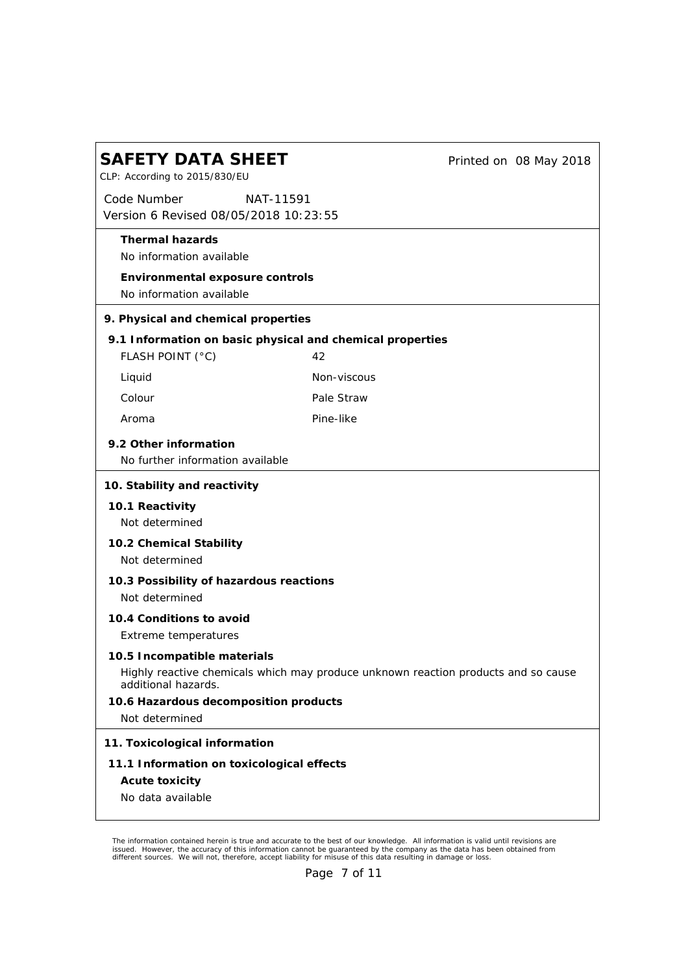| <b>SAFETY DATA SHEET</b><br>CLP: According to 2015/830/EU                                                                                | Printed on 08 May 2018 |  |
|------------------------------------------------------------------------------------------------------------------------------------------|------------------------|--|
| Code Number<br><i>NAT-11591</i><br>Version 6 Revised 08/05/2018 10:23:55                                                                 |                        |  |
| Thermal hazards<br>No information available                                                                                              |                        |  |
| Environmental exposure controls<br>No information available                                                                              |                        |  |
| 9. Physical and chemical properties                                                                                                      |                        |  |
| 9.1 Information on basic physical and chemical properties<br>FLASH POINT (°C)                                                            | 42                     |  |
| Liquid                                                                                                                                   | Non-viscous            |  |
| Colour                                                                                                                                   | Pale Straw             |  |
| Aroma                                                                                                                                    | Pine-like              |  |
| 9.2 Other information<br>No further information available                                                                                |                        |  |
| 10. Stability and reactivity                                                                                                             |                        |  |
| 10.1 Reactivity                                                                                                                          |                        |  |
| Not determined                                                                                                                           |                        |  |
| 10.2 Chemical Stability<br>Not determined                                                                                                |                        |  |
| 10.3 Possibility of hazardous reactions<br>Not determined                                                                                |                        |  |
| 10.4 Conditions to avoid<br>Extreme temperatures                                                                                         |                        |  |
| 10.5 Incompatible materials<br>Highly reactive chemicals which may produce unknown reaction products and so cause<br>additional hazards. |                        |  |
| 10.6 Hazardous decomposition products<br>Not determined                                                                                  |                        |  |
| 11. Toxicological information                                                                                                            |                        |  |
| 11.1 Information on toxicological effects                                                                                                |                        |  |
| Acute toxicity<br>No data available                                                                                                      |                        |  |

The information contained herein is true and accurate to the best of our knowledge. All information is valid until revisions are<br>issued. However, the accuracy of this information cannot be guaranteed by the company as the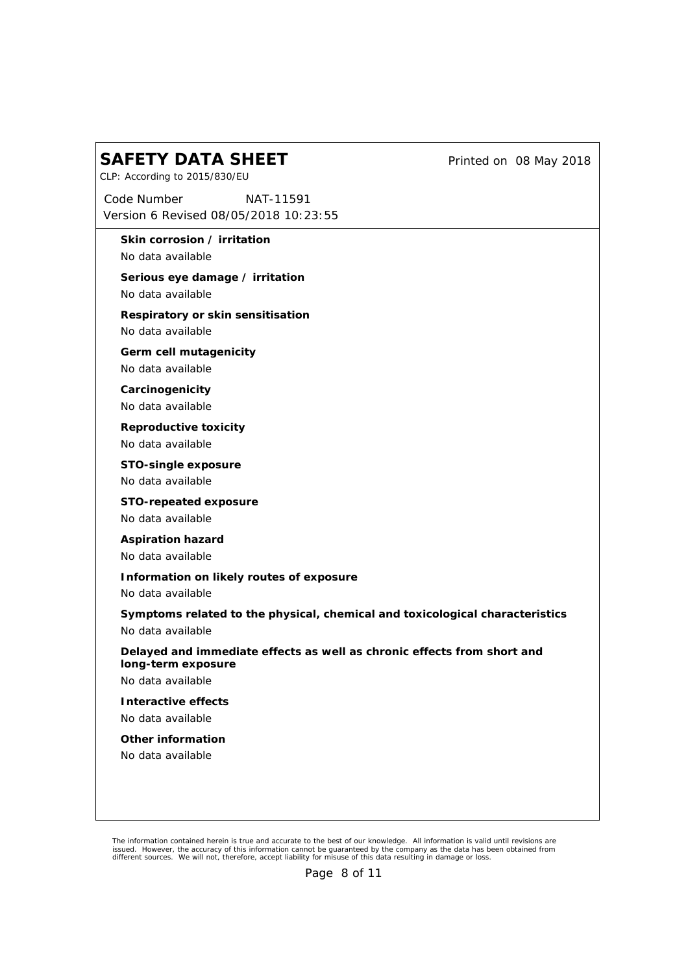CLP: According to 2015/830/EU

*Code Number Version 6 Revised 08/05/2018 10:23:55 NAT-11591*

**Skin corrosion / irritation**

No data available

**Serious eye damage / irritation** No data available

**Respiratory or skin sensitisation**

No data available

**Germ cell mutagenicity**

No data available

**Carcinogenicity** No data available

**Reproductive toxicity** No data available

**STO-single exposure** No data available

**STO-repeated exposure** No data available

**Aspiration hazard** No data available

**Information on likely routes of exposure**

No data available

**Symptoms related to the physical, chemical and toxicological characteristics** No data available

**Delayed and immediate effects as well as chronic effects from short and long-term exposure**

No data available

**Interactive effects** No data available

**Other information**

No data available

*Printed on 08 May 2018*

The information contained herein is true and accurate to the best of our knowledge. All information is valid until revisions are<br>issued. However, the accuracy of this information cannot be guaranteed by the company as the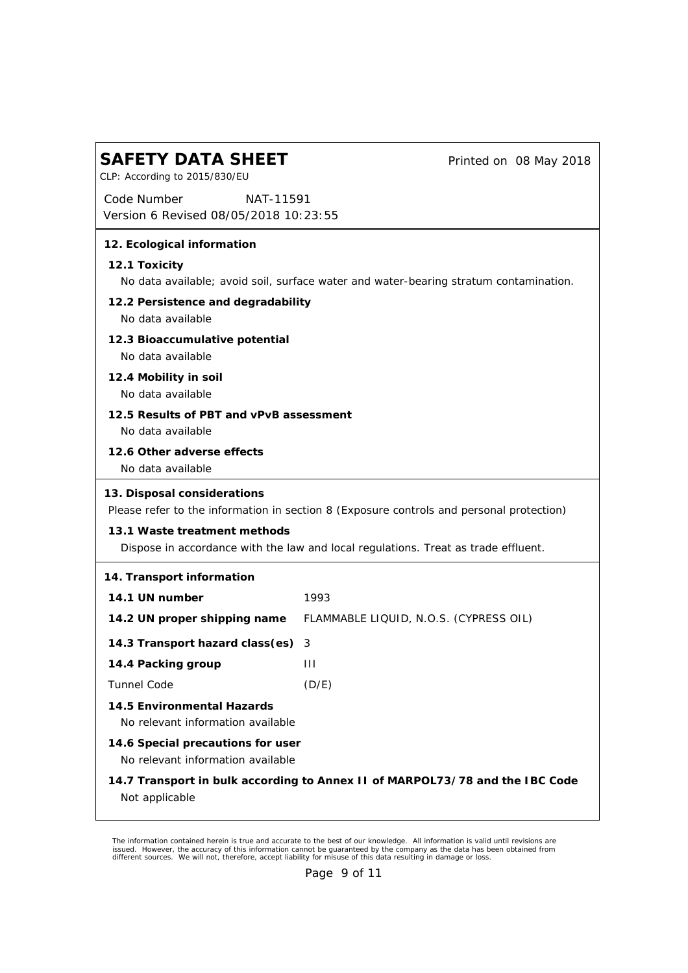#### **SAFETY DATA SHEET** *Code Number Version 6 Revised 08/05/2018 10:23:55 Printed on 08 May 2018* CLP: According to 2015/830/EU *NAT-11591* **12. Ecological information 12.1 Toxicity** No data available; avoid soil, surface water and water-bearing stratum contamination. **12.2 Persistence and degradability** No data available **12.3 Bioaccumulative potential** No data available **12.4 Mobility in soil** No data available **12.5 Results of PBT and vPvB assessment** No data available **12.6 Other adverse effects** No data available **13. Disposal considerations** Please refer to the information in section 8 (Exposure controls and personal protection) **13.1 Waste treatment methods** Dispose in accordance with the law and local regulations. Treat as trade effluent. **14. Transport information 14.1 UN number 14.2 UN proper shipping name** FLAMMABLE LIQUID, N.O.S. (CYPRESS OIL) 1993 **14.3 Transport hazard class(es)** 3 **14.4 Packing group** Tunnel Code III (D/E) **14.5 Environmental Hazards** No relevant information available **14.6 Special precautions for user** No relevant information available **14.7 Transport in bulk according to Annex II of MARPOL73/78 and the IBC Code** Not applicable

The information contained herein is true and accurate to the best of our knowledge. All information is valid until revisions are<br>issued. However, the accuracy of this information cannot be guaranteed by the company as the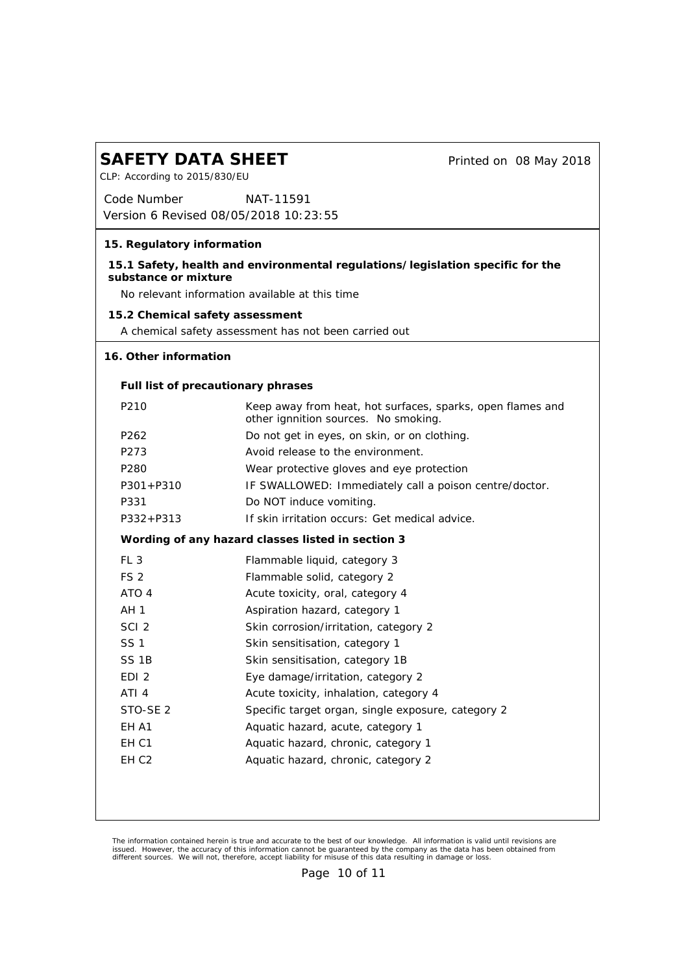CLP: According to 2015/830/EU

*Printed on 08 May 2018*

*Code Number Version 6 Revised 08/05/2018 10:23:55 NAT-11591*

**15. Regulatory information**

**15.1 Safety, health and environmental regulations/legislation specific for the substance or mixture**

No relevant information available at this time

**15.2 Chemical safety assessment**

A chemical safety assessment has not been carried out

#### **16. Other information**

**Full list of precautionary phrases**

| P <sub>210</sub>    | Keep away from heat, hot surfaces, sparks, open flames and<br>other ignnition sources. No smoking. |
|---------------------|----------------------------------------------------------------------------------------------------|
| P <sub>262</sub>    | Do not get in eyes, on skin, or on clothing.                                                       |
| P273                | Avoid release to the environment.                                                                  |
| P <sub>280</sub>    | Wear protective gloves and eye protection                                                          |
| $P301 + P310$       | IF SWALLOWED: Immediately call a poison centre/doctor.                                             |
| P331                | Do NOT induce vomiting.                                                                            |
| $P332 + P313$       | If skin irritation occurs: Get medical advice.                                                     |
|                     | Wording of any hazard classes listed in section 3                                                  |
| FL <sub>3</sub>     | Flammable liquid, category 3                                                                       |
| FS <sub>2</sub>     | Flammable solid, category 2                                                                        |
| ATO 4               | Acute toxicity, oral, category 4                                                                   |
| AH <sub>1</sub>     | Aspiration hazard, category 1                                                                      |
| SCI <sub>2</sub>    | Skin corrosion/irritation, category 2                                                              |
| <b>SS1</b>          | Skin sensitisation, category 1                                                                     |
| SS <sub>1B</sub>    | Skin sensitisation, category 1B                                                                    |
| EDI <sub>2</sub>    | Eye damage/irritation, category 2                                                                  |
| ATI <sub>4</sub>    | Acute toxicity, inhalation, category 4                                                             |
| STO-SE <sub>2</sub> | Specific target organ, single exposure, category 2                                                 |
| EH A1               | Aquatic hazard, acute, category 1                                                                  |
| EH C1               | Aquatic hazard, chronic, category 1                                                                |
| EH C <sub>2</sub>   | Aquatic hazard, chronic, category 2                                                                |
|                     |                                                                                                    |